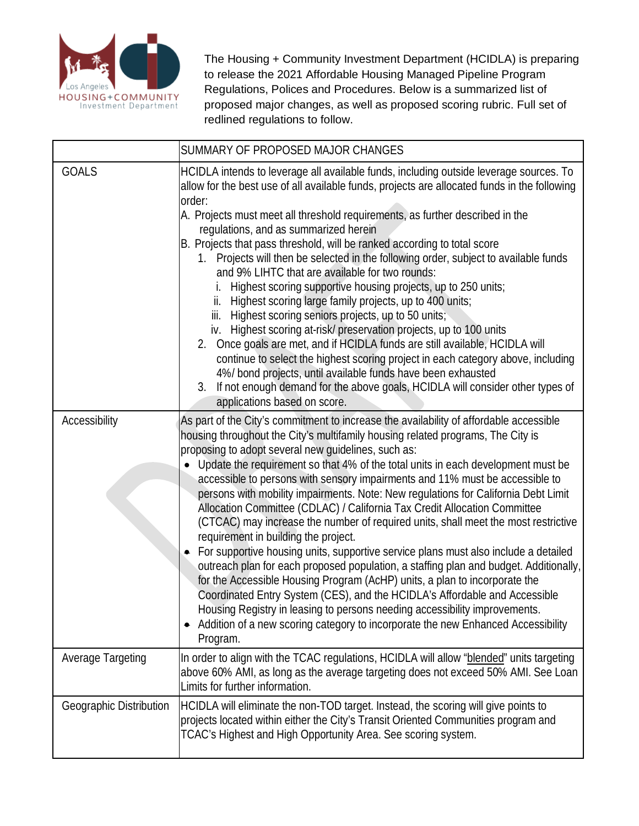

 proposed major changes, as well as proposed scoring rubric. Full set of The Housing + Community Investment Department (HCIDLA) is preparing to release the 2021 Affordable Housing Managed Pipeline Program Regulations, Polices and Procedures. Below is a summarized list of redlined regulations to follow.

|                         | SUMMARY OF PROPOSED MAJOR CHANGES                                                                                                                                                                                                                                                                                                                                                                                                                                                                                                                                                                                                                                                                                                                                                                                                                                                                                                                                                                                                                                                                                                                                                                                                              |
|-------------------------|------------------------------------------------------------------------------------------------------------------------------------------------------------------------------------------------------------------------------------------------------------------------------------------------------------------------------------------------------------------------------------------------------------------------------------------------------------------------------------------------------------------------------------------------------------------------------------------------------------------------------------------------------------------------------------------------------------------------------------------------------------------------------------------------------------------------------------------------------------------------------------------------------------------------------------------------------------------------------------------------------------------------------------------------------------------------------------------------------------------------------------------------------------------------------------------------------------------------------------------------|
| <b>GOALS</b>            | HCIDLA intends to leverage all available funds, including outside leverage sources. To<br>allow for the best use of all available funds, projects are allocated funds in the following<br>order:<br>A. Projects must meet all threshold requirements, as further described in the<br>regulations, and as summarized herein<br>B. Projects that pass threshold, will be ranked according to total score<br>1. Projects will then be selected in the following order, subject to available funds<br>and 9% LIHTC that are available for two rounds:<br>Highest scoring supportive housing projects, up to 250 units;<br>ii. Highest scoring large family projects, up to 400 units;<br>iii. Highest scoring seniors projects, up to 50 units;<br>iv. Highest scoring at-risk/ preservation projects, up to 100 units<br>2. Once goals are met, and if HCIDLA funds are still available, HCIDLA will<br>continue to select the highest scoring project in each category above, including<br>4%/ bond projects, until available funds have been exhausted<br>3. If not enough demand for the above goals, HCIDLA will consider other types of<br>applications based on score.                                                                      |
| Accessibility           | As part of the City's commitment to increase the availability of affordable accessible<br>housing throughout the City's multifamily housing related programs, The City is<br>proposing to adopt several new guidelines, such as:<br>• Update the requirement so that 4% of the total units in each development must be<br>accessible to persons with sensory impairments and 11% must be accessible to<br>persons with mobility impairments. Note: New regulations for California Debt Limit<br>Allocation Committee (CDLAC) / California Tax Credit Allocation Committee<br>(CTCAC) may increase the number of required units, shall meet the most restrictive<br>requirement in building the project.<br>For supportive housing units, supportive service plans must also include a detailed<br>outreach plan for each proposed population, a staffing plan and budget. Additionally,<br>for the Accessible Housing Program (AcHP) units, a plan to incorporate the<br>Coordinated Entry System (CES), and the HCIDLA's Affordable and Accessible<br>Housing Registry in leasing to persons needing accessibility improvements.<br>Addition of a new scoring category to incorporate the new Enhanced Accessibility<br>$\bullet$<br>Program. |
| Average Targeting       | In order to align with the TCAC regulations, HCIDLA will allow "blended" units targeting<br>above 60% AMI, as long as the average targeting does not exceed 50% AMI. See Loan<br>Limits for further information.                                                                                                                                                                                                                                                                                                                                                                                                                                                                                                                                                                                                                                                                                                                                                                                                                                                                                                                                                                                                                               |
| Geographic Distribution | HCIDLA will eliminate the non-TOD target. Instead, the scoring will give points to<br>projects located within either the City's Transit Oriented Communities program and<br>TCAC's Highest and High Opportunity Area. See scoring system.                                                                                                                                                                                                                                                                                                                                                                                                                                                                                                                                                                                                                                                                                                                                                                                                                                                                                                                                                                                                      |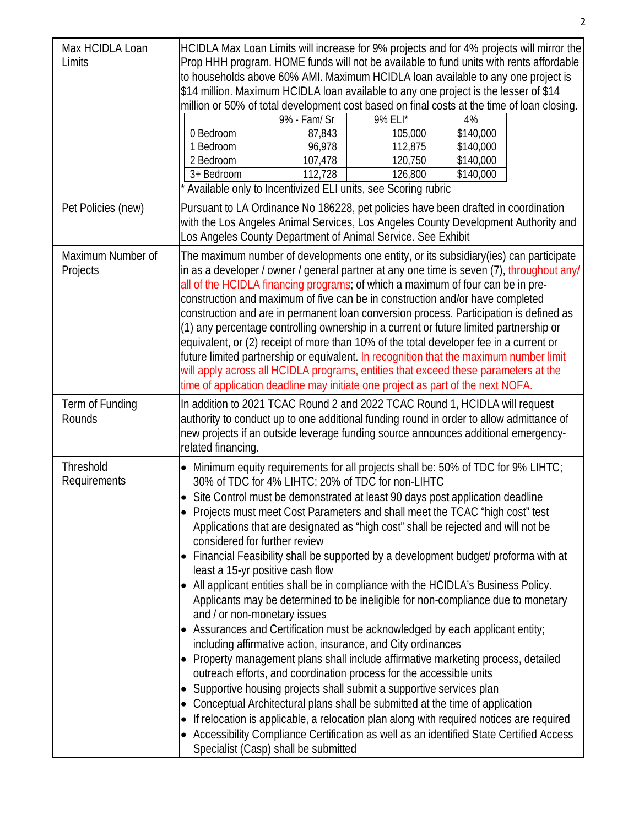| Max HCIDLA Loan<br>Limits     | 0 Bedroom<br>1 Bedroom<br>2 Bedroom<br>$3+$ Bedroom                                                                                                                                                                                                                                                                                                                                                                                                                                                                                                                                                                                                                                                                                                                                                                                                                                                                                                                                                                                                                                                                                                                                                                                                                                                                                                                                                                                                                                | 9% - Fam/ Sr<br>87,843<br>96,978<br>107,478<br>112,728 | HCIDLA Max Loan Limits will increase for 9% projects and for 4% projects will mirror the<br>Prop HHH program. HOME funds will not be available to fund units with rents affordable<br>to households above 60% AMI. Maximum HCIDLA loan available to any one project is<br>\$14 million. Maximum HCIDLA loan available to any one project is the lesser of \$14<br>million or 50% of total development cost based on final costs at the time of loan closing.<br>9% ELI*<br>105,000<br>112,875<br>120,750<br>126,800<br>Available only to Incentivized ELI units, see Scoring rubric | 4%<br>\$140,000<br>\$140,000<br>\$140,000<br>\$140,000 |  |
|-------------------------------|------------------------------------------------------------------------------------------------------------------------------------------------------------------------------------------------------------------------------------------------------------------------------------------------------------------------------------------------------------------------------------------------------------------------------------------------------------------------------------------------------------------------------------------------------------------------------------------------------------------------------------------------------------------------------------------------------------------------------------------------------------------------------------------------------------------------------------------------------------------------------------------------------------------------------------------------------------------------------------------------------------------------------------------------------------------------------------------------------------------------------------------------------------------------------------------------------------------------------------------------------------------------------------------------------------------------------------------------------------------------------------------------------------------------------------------------------------------------------------|--------------------------------------------------------|-------------------------------------------------------------------------------------------------------------------------------------------------------------------------------------------------------------------------------------------------------------------------------------------------------------------------------------------------------------------------------------------------------------------------------------------------------------------------------------------------------------------------------------------------------------------------------------|--------------------------------------------------------|--|
| Pet Policies (new)            |                                                                                                                                                                                                                                                                                                                                                                                                                                                                                                                                                                                                                                                                                                                                                                                                                                                                                                                                                                                                                                                                                                                                                                                                                                                                                                                                                                                                                                                                                    |                                                        | Pursuant to LA Ordinance No 186228, pet policies have been drafted in coordination<br>with the Los Angeles Animal Services, Los Angeles County Development Authority and<br>Los Angeles County Department of Animal Service. See Exhibit                                                                                                                                                                                                                                                                                                                                            |                                                        |  |
| Maximum Number of<br>Projects | The maximum number of developments one entity, or its subsidiary(ies) can participate<br>in as a developer / owner / general partner at any one time is seven (7), throughout any/<br>all of the HCIDLA financing programs; of which a maximum of four can be in pre-<br>construction and maximum of five can be in construction and/or have completed<br>construction and are in permanent loan conversion process. Participation is defined as<br>(1) any percentage controlling ownership in a current or future limited partnership or<br>equivalent, or (2) receipt of more than 10% of the total developer fee in a current or<br>future limited partnership or equivalent. In recognition that the maximum number limit<br>will apply across all HCIDLA programs, entities that exceed these parameters at the<br>time of application deadline may initiate one project as part of the next NOFA.                                                                                                                                                                                                                                                                                                                                                                                                                                                                                                                                                                           |                                                        |                                                                                                                                                                                                                                                                                                                                                                                                                                                                                                                                                                                     |                                                        |  |
| Term of Funding<br>Rounds     | related financing.                                                                                                                                                                                                                                                                                                                                                                                                                                                                                                                                                                                                                                                                                                                                                                                                                                                                                                                                                                                                                                                                                                                                                                                                                                                                                                                                                                                                                                                                 |                                                        | In addition to 2021 TCAC Round 2 and 2022 TCAC Round 1, HCIDLA will request<br>authority to conduct up to one additional funding round in order to allow admittance of<br>new projects if an outside leverage funding source announces additional emergency-                                                                                                                                                                                                                                                                                                                        |                                                        |  |
| Threshold<br>Requirements     | Minimum equity requirements for all projects shall be: 50% of TDC for 9% LIHTC;<br>$\bullet$<br>30% of TDC for 4% LIHTC; 20% of TDC for non-LIHTC<br>Site Control must be demonstrated at least 90 days post application deadline<br>Projects must meet Cost Parameters and shall meet the TCAC "high cost" test<br>Applications that are designated as "high cost" shall be rejected and will not be<br>considered for further review<br>Financial Feasibility shall be supported by a development budget/ proforma with at<br>least a 15-yr positive cash flow<br>All applicant entities shall be in compliance with the HCIDLA's Business Policy.<br>Applicants may be determined to be ineligible for non-compliance due to monetary<br>and / or non-monetary issues<br>Assurances and Certification must be acknowledged by each applicant entity;<br>including affirmative action, insurance, and City ordinances<br>Property management plans shall include affirmative marketing process, detailed<br>outreach efforts, and coordination process for the accessible units<br>Supportive housing projects shall submit a supportive services plan<br>$\bullet$<br>Conceptual Architectural plans shall be submitted at the time of application<br>If relocation is applicable, a relocation plan along with required notices are required<br>Accessibility Compliance Certification as well as an identified State Certified Access<br>Specialist (Casp) shall be submitted |                                                        |                                                                                                                                                                                                                                                                                                                                                                                                                                                                                                                                                                                     |                                                        |  |

2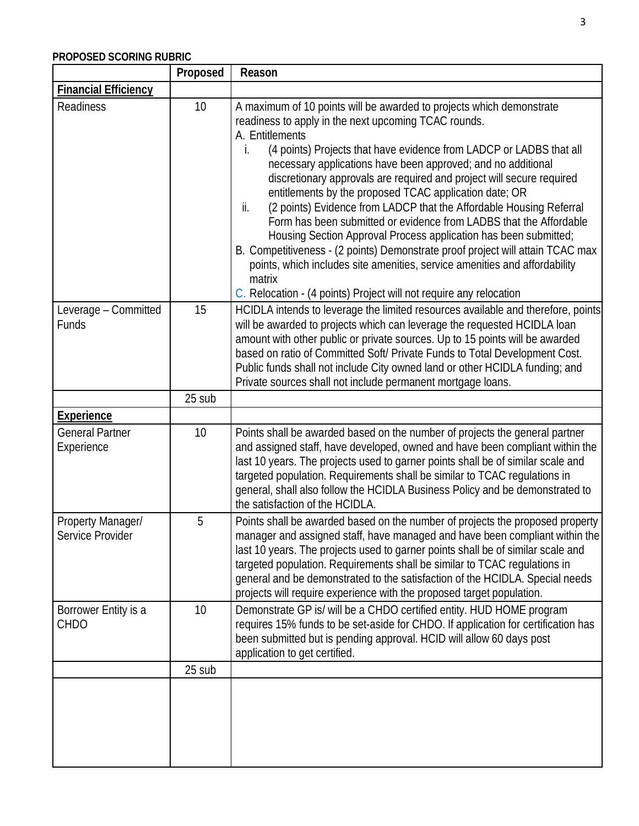## **PROPOSED SCORING RUBRIC**

|                                       | Proposed | Reason                                                                                                                                                                                                                                                                                                                                                                                                                                                                                                                                                                                                                                                                                                                                                                                                                                                                                                  |
|---------------------------------------|----------|---------------------------------------------------------------------------------------------------------------------------------------------------------------------------------------------------------------------------------------------------------------------------------------------------------------------------------------------------------------------------------------------------------------------------------------------------------------------------------------------------------------------------------------------------------------------------------------------------------------------------------------------------------------------------------------------------------------------------------------------------------------------------------------------------------------------------------------------------------------------------------------------------------|
| <b>Financial Efficiency</b>           |          |                                                                                                                                                                                                                                                                                                                                                                                                                                                                                                                                                                                                                                                                                                                                                                                                                                                                                                         |
| Readiness                             | 10       | A maximum of 10 points will be awarded to projects which demonstrate<br>readiness to apply in the next upcoming TCAC rounds.<br>A. Entitlements<br>(4 points) Projects that have evidence from LADCP or LADBS that all<br>İ.<br>necessary applications have been approved; and no additional<br>discretionary approvals are required and project will secure required<br>entitlements by the proposed TCAC application date; OR<br>(2 points) Evidence from LADCP that the Affordable Housing Referral<br>ii.<br>Form has been submitted or evidence from LADBS that the Affordable<br>Housing Section Approval Process application has been submitted;<br>B. Competitiveness - (2 points) Demonstrate proof project will attain TCAC max<br>points, which includes site amenities, service amenities and affordability<br>matrix<br>C. Relocation - (4 points) Project will not require any relocation |
| Leverage - Committed<br>Funds         | 15       | HCIDLA intends to leverage the limited resources available and therefore, points<br>will be awarded to projects which can leverage the requested HCIDLA loan<br>amount with other public or private sources. Up to 15 points will be awarded<br>based on ratio of Committed Soft/ Private Funds to Total Development Cost.<br>Public funds shall not include City owned land or other HCIDLA funding; and<br>Private sources shall not include permanent mortgage loans.                                                                                                                                                                                                                                                                                                                                                                                                                                |
|                                       | 25 sub   |                                                                                                                                                                                                                                                                                                                                                                                                                                                                                                                                                                                                                                                                                                                                                                                                                                                                                                         |
| <b>Experience</b>                     |          |                                                                                                                                                                                                                                                                                                                                                                                                                                                                                                                                                                                                                                                                                                                                                                                                                                                                                                         |
| <b>General Partner</b><br>Experience  | 10       | Points shall be awarded based on the number of projects the general partner<br>and assigned staff, have developed, owned and have been compliant within the<br>last 10 years. The projects used to garner points shall be of similar scale and<br>targeted population. Requirements shall be similar to TCAC regulations in<br>general, shall also follow the HCIDLA Business Policy and be demonstrated to<br>the satisfaction of the HCIDLA.                                                                                                                                                                                                                                                                                                                                                                                                                                                          |
| Property Manager/<br>Service Provider | 5        | Points shall be awarded based on the number of projects the proposed property<br>manager and assigned staff, have managed and have been compliant within the<br>last 10 years. The projects used to garner points shall be of similar scale and<br>targeted population. Requirements shall be similar to TCAC regulations in<br>general and be demonstrated to the satisfaction of the HCIDLA. Special needs<br>projects will require experience with the proposed target population.                                                                                                                                                                                                                                                                                                                                                                                                                   |
| Borrower Entity is a<br><b>CHDO</b>   | 10       | Demonstrate GP is/ will be a CHDO certified entity. HUD HOME program<br>requires 15% funds to be set-aside for CHDO. If application for certification has<br>been submitted but is pending approval. HCID will allow 60 days post<br>application to get certified.                                                                                                                                                                                                                                                                                                                                                                                                                                                                                                                                                                                                                                      |
|                                       | 25 sub   |                                                                                                                                                                                                                                                                                                                                                                                                                                                                                                                                                                                                                                                                                                                                                                                                                                                                                                         |
|                                       |          |                                                                                                                                                                                                                                                                                                                                                                                                                                                                                                                                                                                                                                                                                                                                                                                                                                                                                                         |